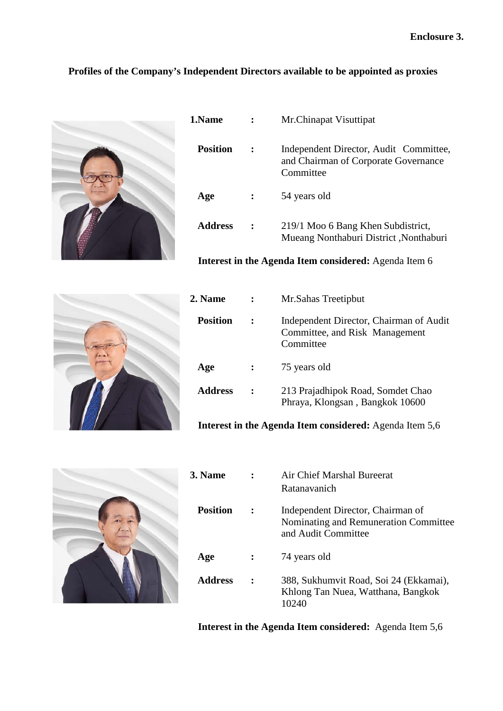## **Profiles of the Company's Independent Directors available to be appointed as proxies**



| 1.Name          |                      | Mr.Chinapat Visuttipat                                                                      |
|-----------------|----------------------|---------------------------------------------------------------------------------------------|
| <b>Position</b> |                      | Independent Director, Audit Committee,<br>and Chairman of Corporate Governance<br>Committee |
| Age             | $\ddot{\phantom{0}}$ | 54 years old                                                                                |
| Address         |                      | 219/1 Moo 6 Bang Khen Subdistrict,<br>Mueang Nonthaburi District, Nonthaburi                |

**Interest in the Agenda Item considered:** Agenda Item 6



| 2. Name         | Mr.Sahas Treetipbut                                                                    |
|-----------------|----------------------------------------------------------------------------------------|
| <b>Position</b> | Independent Director, Chairman of Audit<br>Committee, and Risk Management<br>Committee |
| Age             | 75 years old                                                                           |
| Address         | 213 Prajadhipok Road, Somdet Chao<br>Phraya, Klongsan, Bangkok 10600                   |

**Interest in the Agenda Item considered:** Agenda Item 5,6



| 3. Name         | Air Chief Marshal Bureerat<br>Ratanavanich                                                        |
|-----------------|---------------------------------------------------------------------------------------------------|
| <b>Position</b> | Independent Director, Chairman of<br>Nominating and Remuneration Committee<br>and Audit Committee |
| Age             | 74 years old                                                                                      |
| Address         | 388, Sukhumvit Road, Soi 24 (Ekkamai),<br>Khlong Tan Nuea, Watthana, Bangkok<br>10240             |

**Interest in the Agenda Item considered:** Agenda Item 5,6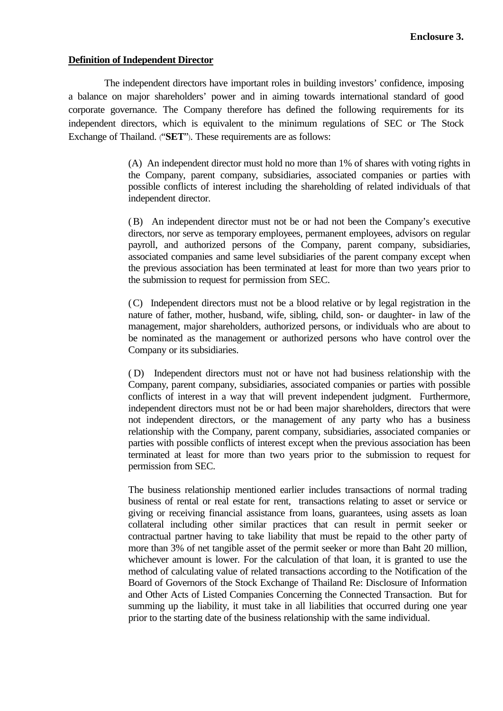## **Definition of Independent Director**

The independent directors have important roles in building investors' confidence, imposing a balance on major shareholders' power and in aiming towards international standard of good corporate governance. The Company therefore has defined the following requirements for its independent directors, which is equivalent to the minimum regulations of SEC or The Stock Exchange of Thailand. ("**SET**"). These requirements are as follows:

> (A) An independent director must hold no more than 1% of shares with voting rights in the Company, parent company, subsidiaries, associated companies or parties with possible conflicts of interest including the shareholding of related individuals of that independent director.

> (B) An independent director must not be or had not been the Company's executive directors, nor serve as temporary employees, permanent employees, advisors on regular payroll, and authorized persons of the Company, parent company, subsidiaries, associated companies and same level subsidiaries of the parent company except when the previous association has been terminated at least for more than two years prior to the submission to request for permission from SEC.

> (C) Independent directors must not be a blood relative or by legal registration in the nature of father, mother, husband, wife, sibling, child, son- or daughter- in law of the management, major shareholders, authorized persons, or individuals who are about to be nominated as the management or authorized persons who have control over the Company or its subsidiaries.

> ( D) Independent directors must not or have not had business relationship with the Company, parent company, subsidiaries, associated companies or parties with possible conflicts of interest in a way that will prevent independent judgment. Furthermore, independent directors must not be or had been major shareholders, directors that were not independent directors, or the management of any party who has a business relationship with the Company, parent company, subsidiaries, associated companies or parties with possible conflicts of interest except when the previous association has been terminated at least for more than two years prior to the submission to request for permission from SEC.

> The business relationship mentioned earlier includes transactions of normal trading business of rental or real estate for rent, transactions relating to asset or service or giving or receiving financial assistance from loans, guarantees, using assets as loan collateral including other similar practices that can result in permit seeker or contractual partner having to take liability that must be repaid to the other party of more than 3% of net tangible asset of the permit seeker or more than Baht 20 million, whichever amount is lower. For the calculation of that loan, it is granted to use the method of calculating value of related transactions according to the Notification of the Board of Governors of the Stock Exchange of Thailand Re: Disclosure of Information and Other Acts of Listed Companies Concerning the Connected Transaction. But for summing up the liability, it must take in all liabilities that occurred during one year prior to the starting date of the business relationship with the same individual.